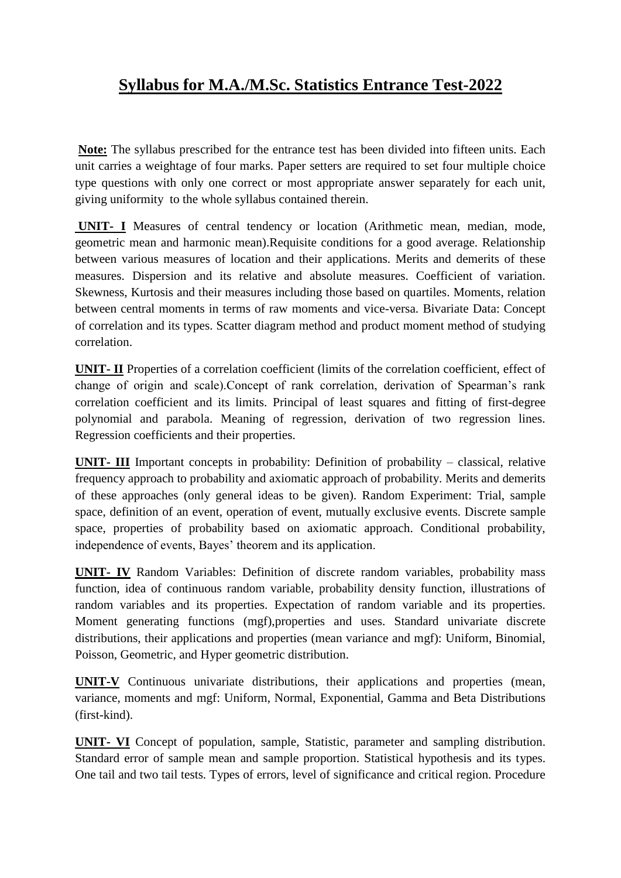## **Syllabus for M.A./M.Sc. Statistics Entrance Test-2022**

**Note:** The syllabus prescribed for the entrance test has been divided into fifteen units. Each unit carries a weightage of four marks. Paper setters are required to set four multiple choice type questions with only one correct or most appropriate answer separately for each unit, giving uniformity to the whole syllabus contained therein.

**UNIT- I** Measures of central tendency or location (Arithmetic mean, median, mode, geometric mean and harmonic mean).Requisite conditions for a good average. Relationship between various measures of location and their applications. Merits and demerits of these measures. Dispersion and its relative and absolute measures. Coefficient of variation. Skewness, Kurtosis and their measures including those based on quartiles. Moments, relation between central moments in terms of raw moments and vice-versa. Bivariate Data: Concept of correlation and its types. Scatter diagram method and product moment method of studying correlation.

**UNIT- II** Properties of a correlation coefficient (limits of the correlation coefficient, effect of change of origin and scale).Concept of rank correlation, derivation of Spearman's rank correlation coefficient and its limits. Principal of least squares and fitting of first-degree polynomial and parabola. Meaning of regression, derivation of two regression lines. Regression coefficients and their properties.

**UNIT- III** Important concepts in probability: Definition of probability – classical, relative frequency approach to probability and axiomatic approach of probability. Merits and demerits of these approaches (only general ideas to be given). Random Experiment: Trial, sample space, definition of an event, operation of event, mutually exclusive events. Discrete sample space, properties of probability based on axiomatic approach. Conditional probability, independence of events, Bayes' theorem and its application.

**UNIT- IV** Random Variables: Definition of discrete random variables, probability mass function, idea of continuous random variable, probability density function, illustrations of random variables and its properties. Expectation of random variable and its properties. Moment generating functions (mgf),properties and uses. Standard univariate discrete distributions, their applications and properties (mean variance and mgf): Uniform, Binomial, Poisson, Geometric, and Hyper geometric distribution.

**UNIT-V** Continuous univariate distributions, their applications and properties (mean, variance, moments and mgf: Uniform, Normal, Exponential, Gamma and Beta Distributions (first-kind).

**UNIT- VI** Concept of population, sample, Statistic, parameter and sampling distribution. Standard error of sample mean and sample proportion. Statistical hypothesis and its types. One tail and two tail tests. Types of errors, level of significance and critical region. Procedure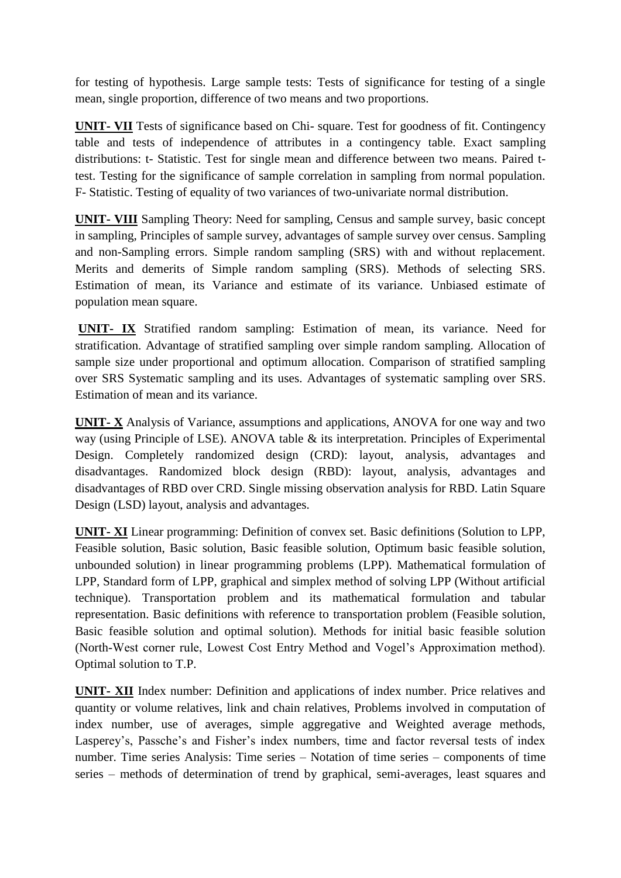for testing of hypothesis. Large sample tests: Tests of significance for testing of a single mean, single proportion, difference of two means and two proportions.

**UNIT- VII** Tests of significance based on Chi- square. Test for goodness of fit. Contingency table and tests of independence of attributes in a contingency table. Exact sampling distributions: t- Statistic. Test for single mean and difference between two means. Paired ttest. Testing for the significance of sample correlation in sampling from normal population. F- Statistic. Testing of equality of two variances of two-univariate normal distribution.

**UNIT- VIII** Sampling Theory: Need for sampling, Census and sample survey, basic concept in sampling, Principles of sample survey, advantages of sample survey over census. Sampling and non-Sampling errors. Simple random sampling (SRS) with and without replacement. Merits and demerits of Simple random sampling (SRS). Methods of selecting SRS. Estimation of mean, its Variance and estimate of its variance. Unbiased estimate of population mean square.

**UNIT- IX** Stratified random sampling: Estimation of mean, its variance. Need for stratification. Advantage of stratified sampling over simple random sampling. Allocation of sample size under proportional and optimum allocation. Comparison of stratified sampling over SRS Systematic sampling and its uses. Advantages of systematic sampling over SRS. Estimation of mean and its variance.

**UNIT- X** Analysis of Variance, assumptions and applications, ANOVA for one way and two way (using Principle of LSE). ANOVA table & its interpretation. Principles of Experimental Design. Completely randomized design (CRD): layout, analysis, advantages and disadvantages. Randomized block design (RBD): layout, analysis, advantages and disadvantages of RBD over CRD. Single missing observation analysis for RBD. Latin Square Design (LSD) layout, analysis and advantages.

**UNIT- XI** Linear programming: Definition of convex set. Basic definitions (Solution to LPP, Feasible solution, Basic solution, Basic feasible solution, Optimum basic feasible solution, unbounded solution) in linear programming problems (LPP). Mathematical formulation of LPP, Standard form of LPP, graphical and simplex method of solving LPP (Without artificial technique). Transportation problem and its mathematical formulation and tabular representation. Basic definitions with reference to transportation problem (Feasible solution, Basic feasible solution and optimal solution). Methods for initial basic feasible solution (North-West corner rule, Lowest Cost Entry Method and Vogel's Approximation method). Optimal solution to T.P.

**UNIT- XII** Index number: Definition and applications of index number. Price relatives and quantity or volume relatives, link and chain relatives, Problems involved in computation of index number, use of averages, simple aggregative and Weighted average methods, Lasperey's, Passche's and Fisher's index numbers, time and factor reversal tests of index number. Time series Analysis: Time series – Notation of time series – components of time series – methods of determination of trend by graphical, semi-averages, least squares and